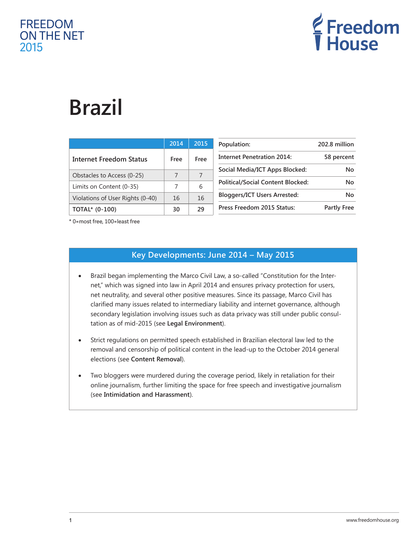# FREEDOM ON THE NET 2015



# **Brazil**

|                                  | 2014 | 2015 |
|----------------------------------|------|------|
| <b>Internet Freedom Status</b>   | Free | Free |
| Obstacles to Access (0-25)       | 7    | 7    |
| Limits on Content (0-35)         | 7    | 6    |
| Violations of User Rights (0-40) | 16   | 16   |
| TOTAL* (0-100)                   | 30   | 29   |

| Population:                              | 202.8 million      |  |
|------------------------------------------|--------------------|--|
| <b>Internet Penetration 2014:</b>        | 58 percent         |  |
| Social Media/ICT Apps Blocked:           | N٥                 |  |
| <b>Political/Social Content Blocked:</b> | N٥                 |  |
| <b>Bloggers/ICT Users Arrested:</b>      | N٥                 |  |
| Press Freedom 2015 Status:               | <b>Partly Free</b> |  |

\* 0=most free, 100=least free

## **Key Developments: June 2014 – May 2015**

- Brazil began implementing the Marco Civil Law, a so-called "Constitution for the Internet," which was signed into law in April 2014 and ensures privacy protection for users, net neutrality, and several other positive measures. Since its passage, Marco Civil has clarified many issues related to intermediary liability and internet governance, although secondary legislation involving issues such as data privacy was still under public consultation as of mid-2015 (see **Legal Environment**).
- Strict regulations on permitted speech established in Brazilian electoral law led to the removal and censorship of political content in the lead-up to the October 2014 general elections (see **Content Removal**).
- Two bloggers were murdered during the coverage period, likely in retaliation for their online journalism, further limiting the space for free speech and investigative journalism (see **Intimidation and Harassment**).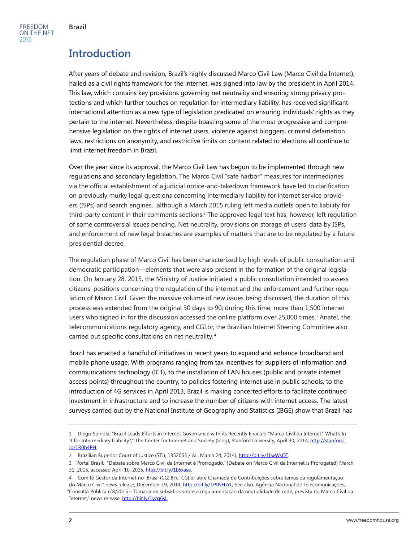# **Introduction**

After years of debate and revision, Brazil's highly discussed Marco Civil Law (Marco Civil da Internet), hailed as a civil rights framework for the internet, was signed into law by the president in April 2014. This law, which contains key provisions governing net neutrality and ensuring strong privacy protections and which further touches on regulation for intermediary liability, has received significant international attention as a new type of legislation predicated on ensuring individuals' rights as they pertain to the internet. Nevertheless, despite boasting some of the most progressive and comprehensive legislation on the rights of internet users, violence against bloggers, criminal defamation laws, restrictions on anonymity, and restrictive limits on content related to elections all continue to limit internet freedom in Brazil.

Over the year since its approval, the Marco Civil Law has begun to be implemented through new regulations and secondary legislation. The Marco Civil "safe harbor" measures for intermediaries via the official establishment of a judicial notice-and-takedown framework have led to clarification on previously murky legal questions concerning intermediary liability for internet service providers (ISPs) and search engines,<sup>1</sup> although a March 2015 ruling left media outlets open to liability for third-party content in their comments sections.<sup>2</sup> The approved legal text has, however, left regulation of some controversial issues pending. Net neutrality, provisions on storage of users' data by ISPs, and enforcement of new legal breaches are examples of matters that are to be regulated by a future presidential decree.

The regulation phase of Marco Civil has been characterized by high levels of public consultation and democratic participation—elements that were also present in the formation of the original legislation. On January 28, 2015, the Ministry of Justice initiated a public consultation intended to assess citizens' positions concerning the regulation of the internet and the enforcement and further regulation of Marco Civil. Given the massive volume of new issues being discussed, the duration of this process was extended from the original 30 days to 90; during this time, more than 1,500 internet users who signed in for the discussion accessed the online platform over 25,000 times.<sup>3</sup> Anatel, the telecommunications regulatory agency, and CGI.br, the Brazilian Internet Steering Committee also carried out specific consultations on net neutrality. <sup>4</sup>

Brazil has enacted a handful of initiatives in recent years to expand and enhance broadband and mobile phone usage. With programs ranging from tax incentives for suppliers of information and communications technology (ICT), to the installation of LAN houses (public and private internet access points) throughout the country, to policies fostering internet use in public schools, to the introduction of 4G services in April 2013, Brazil is making concerted efforts to facilitate continued investment in infrastructure and to increase the number of citizens with internet access. The latest surveys carried out by the National Institute of Geography and Statistics (IBGE) show that Brazil has

<sup>1</sup> Diego Spinola, "Brazil Leads Efforts in Internet Governance with its Recently Enacted "Marco Civil da Internet." What's In It for Intermediary Liability?," The Center for Internet and Society (blog), Stanford University, April 30, 2014, [http://stanford.](http://stanford.io/1R0h4PH) [io/1R0h4PH.](http://stanford.io/1R0h4PH)

<sup>2</sup> Brazilian Superior Court of Justice (STJ), 1352053 / AL, March 24, 2014), [http://bit.ly/1LwWsOT.](http://bit.ly/1LwWsOT)

<sup>3</sup> Portal Brasil, "Debate sobre Marco Civil da Internet é Prorrogado," [Debate on Marco Civil da Internet is Prorogated] March 31, 2015, accessed April 10, 2015,<http://bit.ly/1L6xase>.

<sup>4</sup> Comitê Gestor da Internet no Brasil (CGI.Br), "CGI.br abre Chamada de Contribuições sobre temas da regulamentaçao do Marco Civil," news release, December 19, 2014, [http://bit.ly/1PtNH7d.](http://bit.ly/1PtNH7d); See also: Agência Nacional de Telecomunicações, "Consulta Pública n˚8/2015 – Tomada de subsídios sobre a regulamentação da neutralidade de rede, prevista no Marco Civil da Internet," news release, [http://bit.ly/1yzq6sL.](http://bit.ly/1yzq6sL)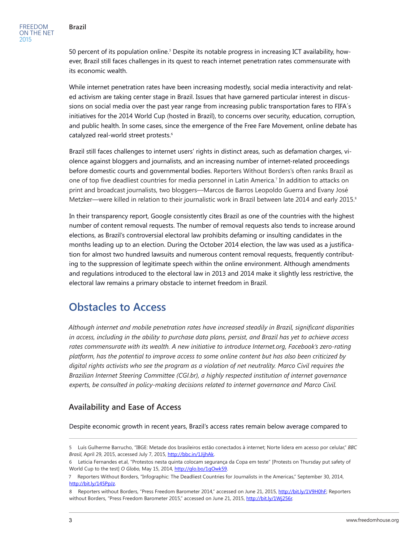50 percent of its population online.<sup>5</sup> Despite its notable progress in increasing ICT availability, however, Brazil still faces challenges in its quest to reach internet penetration rates commensurate with its economic wealth.

While internet penetration rates have been increasing modestly, social media interactivity and related activism are taking center stage in Brazil. Issues that have garnered particular interest in discussions on social media over the past year range from increasing public transportation fares to FIFA´s initiatives for the 2014 World Cup (hosted in Brazil), to concerns over security, education, corruption, and public health. In some cases, since the emergence of the Free Fare Movement, online debate has catalyzed real-world street protests.<sup>6</sup>

Brazil still faces challenges to internet users' rights in distinct areas, such as defamation charges, violence against bloggers and journalists, and an increasing number of internet-related proceedings before domestic courts and governmental bodies. Reporters Without Borders's often ranks Brazil as one of top five deadliest countries for media personnel in Latin America.<sup>7</sup> In addition to attacks on print and broadcast journalists, two bloggers—Marcos de Barros Leopoldo Guerra and Evany José Metzker—were killed in relation to their journalistic work in Brazil between late 2014 and early 2015.<sup>8</sup>

In their transparency report, Google consistently cites Brazil as one of the countries with the highest number of content removal requests. The number of removal requests also tends to increase around elections, as Brazil's controversial electoral law prohibits defaming or insulting candidates in the months leading up to an election. During the October 2014 election, the law was used as a justification for almost two hundred lawsuits and numerous content removal requests, frequently contributing to the suppression of legitimate speech within the online environment. Although amendments and regulations introduced to the electoral law in 2013 and 2014 make it slightly less restrictive, the electoral law remains a primary obstacle to internet freedom in Brazil.

# **Obstacles to Access**

*Although internet and mobile penetration rates have increased steadily in Brazil, significant disparities in access, including in the ability to purchase data plans, persist, and Brazil has yet to achieve access rates commensurate with its wealth. A new initiative to introduce Internet.org, Facebook's zero-rating platform, has the potential to improve access to some online content but has also been criticized by digital rights activists who see the program as a violation of net neutrality. Marco Civil requires the Brazilian Internet Steering Committee (CGI.br), a highly respected institution of internet governance experts, be consulted in policy-making decisions related to internet governance and Marco Civil.*

## **Availability and Ease of Access**

Despite economic growth in recent years, Brazil's access rates remain below average compared to

<sup>5</sup> Luís Gulherme Barrucho, "IBGE: Metade dos brasileiros estão conectados à internet; Norte lidera em acesso por celular," *BBC Brasil*, April 29, 2015, accessed July 7, 2015, [http://bbc.in/1JijhAk.](http://bbc.in/1JijhAk)

<sup>6</sup> Leticia Fernandes et.al, "Protestos nesta quinta colocam segurança da Copa em teste" [Protests on Thursday put safety of World Cup to the test] *O Globo,* May 15, 2014, [http://glo.bo/1gOwk59.](http://glo.bo/1gOwk59)

<sup>7</sup> Reporters Without Borders, "Infographic: The Deadliest Countries for Journalists in the Americas," September 30, 2014, <http://bit.ly/145PpJz>.

<sup>8</sup> Reporters without Borders, "Press Freedom Barometer 2014," accessed on June 21, 2015,<http://bit.ly/1V9H0hF>; Reporters without Borders, "Press Freedom Barometer 2015," accessed on June 21, 2015, [http://bit.ly/1Wj256r.](http://bit.ly/1Wj256r)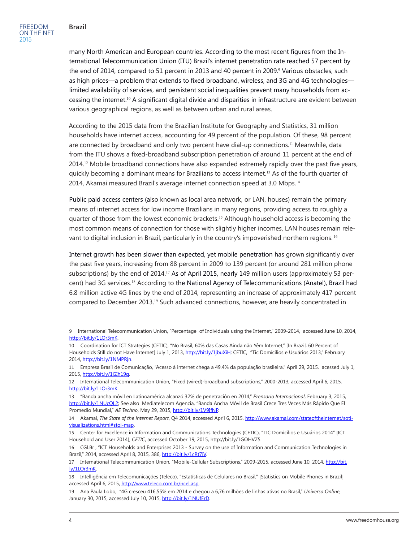many North American and European countries. According to the most recent figures from the International Telecommunication Union (ITU) Brazil's internet penetration rate reached 57 percent by the end of 2014, compared to 51 percent in 2013 and 40 percent in 2009.<sup>9</sup> Various obstacles, such as high prices—a problem that extends to fixed broadband, wireless, and 3G and 4G technologies limited availability of services, and persistent social inequalities prevent many households from accessing the internet.10 A significant digital divide and disparities in infrastructure are evident between various geographical regions, as well as between urban and rural areas.

According to the 2015 data from the Brazilian Institute for Geography and Statistics, 31 million households have internet access, accounting for 49 percent of the population. Of these, 98 percent are connected by broadband and only two percent have dial-up connections.<sup>11</sup> Meanwhile, data from the ITU shows a fixed-broadband subscription penetration of around 11 percent at the end of 2014.<sup>12</sup> Mobile broadband connections have also expanded extremely rapidly over the past five years, quickly becoming a dominant means for Brazilians to access internet. <sup>13</sup> As of the fourth quarter of 2014, Akamai measured Brazil's average internet connection speed at 3.0 Mbps.<sup>14</sup>

Public paid access centers (also known as local area network, or LAN, houses) remain the primary means of internet access for low income Brazilians in many regions, providing access to roughly a quarter of those from the lowest economic brackets. <sup>15</sup> Although household access is becoming the most common means of connection for those with slightly higher incomes, LAN houses remain relevant to digital inclusion in Brazil, particularly in the country's impoverished northern regions. <sup>16</sup>

Internet growth has been slower than expected, yet mobile penetration has grown significantly over the past five years, increasing from 88 percent in 2009 to 139 percent (or around 281 million phone subscriptions) by the end of 2014.<sup>17</sup> As of April 2015, nearly 149 million users (approximately 53 percent) had 3G services.<sup>18</sup> According to the National Agency of Telecommunications (Anatel), Brazil had 6.8 million active 4G lines by the end of 2014, representing an increase of approximately 417 percent compared to December 2013.<sup>19</sup> Such advanced connections, however, are heavily concentrated in

<sup>9</sup> International Telecommunication Union, "Percentage of Individuals using the Internet," 2009-2014, accessed June 10, 2014, [http://bit.ly/1LOr3mK.](http://bit.ly/1LOr3mK)

<sup>10</sup> Coordination for ICT Strategies (CETIC), "[No Brasil, 60% das Casas Ainda não Yêm Internet](http://coeti.seplag.ce.gov.br/?p=921)," [In Brazil, 60 Percent of Households Still do not Have Internet] July 1, 2013,<http://bit.ly/1jbuXiH>; CETIC, "Tic Domícilios e Usuários 2013," February 2014, <http://bit.ly/1NMPRjn>.

<sup>11</sup> Empresa Brasil de Comunicação, "Acesso à internet chega a 49,4% da população brasileira," April 29, 2015, acessed July 1, 2015, [http://bit.ly/1GIh19q.](http://bit.ly/1GIh19q)

<sup>12</sup> International Telecommunication Union, "Fixed (wired)-broadband subscriptions," 2000-2013, accessed April 6, 2015, [http://bit.ly/1LOr3mK.](http://bit.ly/1LOr3mK)

<sup>13 &</sup>quot;Banda ancha móvil en Latinoamérica alcanzó 32% de penetración en 2014," *Prensario Internacional*, February 3, 2015, <http://bit.ly/1NUcQL2>; See also Mediatelecom Agencia, "Banda Ancha Móvil de Brasil Crece Tres Veces Más Rápido Que El Promedio Mundial," AE Techno, May 29, 2015, [http://bit.ly/1V9IfNP.](http://bit.ly/1V9IfNP)

<sup>14</sup> Akamai, *The State of the Internet Report*, Q4 2014, accessed April 6, 2015, [http://www.akamai.com/stateoftheinternet/soti](http://www.akamai.com/stateoftheinternet/soti-visualizations.html#stoi-map)[visualizations.html#stoi-map.](http://www.akamai.com/stateoftheinternet/soti-visualizations.html#stoi-map)

<sup>15</sup> Center for Excellence in Information and Communications Technologies (CETIC), "TIC Domícilios e Usuários 2014" [ICT Household and User 2014], *CETIC*, accessed October 19, 2015, http://bit.ly/1GOHVZ5

<sup>16</sup> CGI.Br , "ICT Households and Enterprises 2013 - Survey on the use of Information and Communication Technologies in Brazil," 2014, accessed April 8, 2015, 386, <http://bit.ly/1cRt7jV>.

<sup>17</sup> International Telecommunication Union, "Mobile-Cellular Subscriptions," 2009-2015, accessed June 10, 2014, [http://bit.](http://bit.ly/1LOr3mK) [ly/1LOr3mK](http://bit.ly/1LOr3mK).

<sup>18</sup> Intelligência em Telecomunicações (Teleco), "Estatísticas de Celulares no Brasil," [Statistics on Mobile Phones in Brazil] accessed April 6, 2015, <http://www.teleco.com.br/ncel.asp>.

<sup>19</sup> Ana Paula Lobo, "4G cresceu 416,55% em 2014 e chegou a 6,76 milhões de linhas ativas no Brasil," *Universo Online*, January 30, 2015, accessed July 10, 2015,<http://bit.ly/1NUfErD>.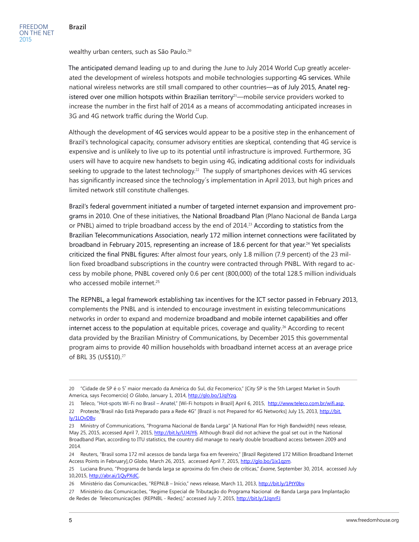wealthy urban centers, such as São Paulo.<sup>20</sup>

The anticipated demand leading up to and during the June to July 2014 World Cup greatly accelerated the development of wireless hotspots and mobile technologies supporting 4G services. While national wireless networks are still small compared to other countries—as of July 2015, Anatel registered over one million hotspots within Brazilian territory<sup>21</sup>—mobile service providers worked to increase the number in the first half of 2014 as a means of accommodating anticipated increases in 3G and 4G network traffic during the World Cup.

Although the development of 4G services would appear to be a positive step in the enhancement of Brazil's technological capacity, consumer advisory entities are skeptical, contending that 4G service is expensive and is unlikely to live up to its potential until infrastructure is improved. Furthermore, 3G users will have to acquire new handsets to begin using 4G, indicating additional costs for individuals seeking to upgrade to the latest technology.<sup>22</sup> The supply of smartphones devices with 4G services has significantly increased since the technology´s implementation in April 2013, but high prices and limited network still constitute challenges.

Brazil's federal government initiated a number of targeted internet expansion and improvement programs in 2010. One of these initiatives, the National Broadband Plan (Plano Nacional de Banda Larga or PNBL) aimed to triple broadband access by the end of 2014.<sup>23</sup> According to statistics from the Brazilian Telecommunications Association, nearly 172 million internet connections were facilitated by broadband in February 2015, representing an increase of 18.6 percent for that year.24 Yet specialists criticized the final PNBL figures: After almost four years, only 1.8 million (7.9 percent) of the 23 million fixed broadband subscriptions in the country were contracted through PNBL. With regard to access by mobile phone, PNBL covered only 0.6 per cent (800,000) of the total 128.5 million individuals who accessed mobile internet.<sup>25</sup>

The REPNBL, a legal framework establishing tax incentives for the ICT sector passed in February 2013, complements the PNBL and is intended to encourage investment in existing telecommunications networks in order to expand and modernize broadband and mobile internet capabilities and offer internet access to the population at equitable prices, coverage and quality. <sup>26</sup> According to recent data provided by the Brazilian Ministry of Communications, by December 2015 this governmental program aims to provide 40 million households with broadband internet access at an average price of BRL 35 (US\$10). 27

<sup>20</sup> "Cidade de SP é o 5˚ maior mercado da América do Sul, diz Fecomerico," [City SP is the 5th Largest Market in South America, says Fecomercio] *O Globo*, January 1, 2014, <http://glo.bo/1JqlYzg>.

<sup>21</sup> Teleco, "Hot-spots Wi-Fi no Brasil – Anatel," [Wi-Fi hotspots in Brazil] April 6, 2015, <http://www.teleco.com.br/wifi.asp>

<sup>22</sup> Proteste,"Brasil não Está Preparado para a Rede 4G" [Brazil is not Prepared for 4G Networks] July 15, 2013, [http://bit.](http://bit.ly/1LOvDBv) [ly/1LOvDBv.](http://bit.ly/1LOvDBv)

<sup>23</sup> Ministry of Communications, "Programa Nacional de Banda Larga" [A National Plan for High Bandwidth] news release, May 25, 2015, accessed April 7, 2015, <http://bit.ly/UJ4JY6>. Although Brazil did not achieve the goal set out in the National Broadband Plan, according to ITU statistics, the country did manage to nearly double broadband access between 2009 and 2014.

<sup>24</sup> Reuters, "Brasil soma 172 mil acessos de banda larga fixa em fevereiro," [Brazil Registered 172 Million Broadband Internet Access Points in February],*O Globo,* March 26, 2015, accessed April 7, 2015, [http://glo.bo/1ix1qzm.](http://glo.bo/1ix1qzm)

<sup>25</sup> Luciana Bruno, "Programa de banda larga se aproxima do fim cheio de críticas," *Exame*, September 30, 2014, accessed July 10,2015, [http://abr.ai/1QyPXdC.](http://abr.ai/1QyPXdC)

<sup>26</sup> Ministério das Comunicacões, "REPNLB – Início," news release, March 11, 2013, <http://bit.ly/1PtY0bv>.

<sup>27</sup> Ministério das Comunicacões, "Regime Especial de Tributação do Programa Nacional de Banda Larga para Implantação de Redes de Telecomunicações (REPNBL - Redes)," accessed July 7, 2015, [http://bit.ly/1JqnrFJ.](http://bit.ly/1JqnrFJ)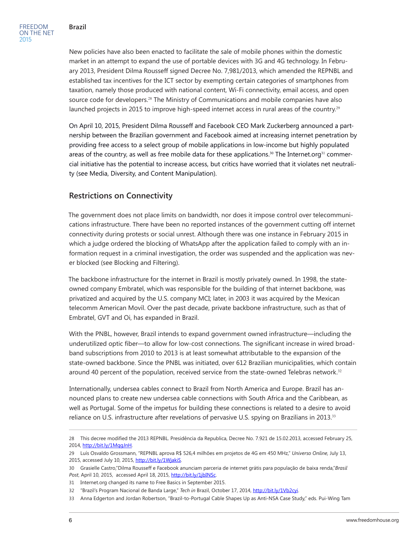New policies have also been enacted to facilitate the sale of mobile phones within the domestic market in an attempt to expand the use of portable devices with 3G and 4G technology. In February 2013, President Dilma Rousseff signed Decree No. 7,981/2013, which amended the REPNBL and established tax incentives for the ICT sector by exempting certain categories of smartphones from taxation, namely those produced with national content, Wi-Fi connectivity, email access, and open source code for developers.<sup>28</sup> The Ministry of Communications and mobile companies have also launched projects in 2015 to improve high-speed internet access in rural areas of the country.<sup>29</sup>

On April 10, 2015, President Dilma Rousseff and Facebook CEO Mark Zuckerberg announced a partnership between the Brazilian government and Facebook aimed at increasing internet penetration by providing free access to a select group of mobile applications in low-income but highly populated areas of the country, as well as free mobile data for these applications.<sup>30</sup> The Internet.org<sup>31</sup> commercial initiative has the potential to increase access, but critics have worried that it violates net neutrality (see Media, Diversity, and Content Manipulation).

## **Restrictions on Connectivity**

The government does not place limits on bandwidth, nor does it impose control over telecommunications infrastructure. There have been no reported instances of the government cutting off internet connectivity during protests or social unrest. Although there was one instance in February 2015 in which a judge ordered the blocking of WhatsApp after the application failed to comply with an information request in a criminal investigation, the order was suspended and the application was never blocked (see Blocking and Filtering).

The backbone infrastructure for the internet in Brazil is mostly privately owned. In 1998, the stateowned company Embratel, which was responsible for the building of that internet backbone, was privatized and acquired by the U.S. company MCI; later, in 2003 it was acquired by the Mexican telecomm American Movíl. Over the past decade, private backbone infrastructure, such as that of Embratel, GVT and Oi, has expanded in Brazil.

With the PNBL, however, Brazil intends to expand government owned infrastructure—including the underutilized optic fiber—to allow for low-cost connections. The significant increase in wired broadband subscriptions from 2010 to 2013 is at least somewhat attributable to the expansion of the state-owned backbone. Since the PNBL was initiated, over 612 Brazilian municipalities, which contain around 40 percent of the population, received service from the state-owned Telebras network.<sup>32</sup>

Internationally, undersea cables connect to Brazil from North America and Europe. Brazil has announced plans to create new undersea cable connections with South Africa and the Caribbean, as well as Portugal. Some of the impetus for building these connections is related to a desire to avoid reliance on U.S. infrastructure after revelations of pervasive U.S. spying on Brazilians in 2013.<sup>33</sup>

<sup>28</sup> This decree modified the 2013 REPNBL. Presidência da Republica, Decree No. 7.921 de 15.02.2013, accessed February 25, 2014, [http://bit.ly/1MqgJnH.](http://bit.ly/1MqgJnH)

<sup>29</sup> Luís Osvaldo Grossmann, "REPNBL aprova R\$ 526,4 milhões em projetos de 4G em 450 MHz," *Universo Online,* July 13, 2015, accessed July 10, 2015,<http://bit.ly/1WjakiS>.

<sup>30</sup> Grasielle Castro,"Dilma Rousseff e Facebook anunciam parceria de internet grátis para população de baixa renda,"*Brasil*  Post, April 10, 2015, accessed April 18, 2015,<http://bit.ly/1jbINSc>.

<sup>31</sup> Internet.org changed its name to Free Basics in September 2015.

<sup>32 &</sup>quot;Brazil's Program Nacional de Banda Large," *Tech in* Brazil, October 17, 2014, [http://bit.ly/1Vb2cyi.](http://bit.ly/1Vb2cyi)

<sup>33</sup> Anna Edgerton and Jordan Robertson, "Brazil-to-Portugal Cable Shapes Up as Anti-NSA Case Study," eds. Pui-Wing Tam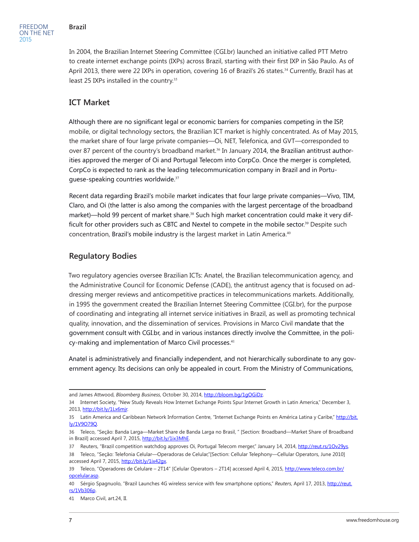In 2004, the Brazilian Internet Steering Committee (CGI.br) launched an initiative called PTT Metro to create internet exchange points (IXPs) across Brazil, starting with their first IXP in São Paulo. As of April 2013, there were 22 IXPs in operation, covering 16 of Brazil's 26 states.<sup>34</sup> Currently, Brazil has at least 25 IXPs installed in the country.<sup>35</sup>

## **ICT Market**

Although there are no significant legal or economic barriers for companies competing in the ISP, mobile, or digital technology sectors, the Brazilian ICT market is highly concentrated. As of May 2015, the market share of four large private companies—Oi, NET, Telefonica, and GVT—corresponded to over 87 percent of the country's broadband market.<sup>36</sup> In January 2014, the Brazilian antitrust authorities approved the merger of Oi and Portugal Telecom into CorpCo. Once the merger is completed, CorpCo is expected to rank as the leading telecommunication company in Brazil and in Portuguese-speaking countries worldwide.<sup>37</sup>

Recent data regarding Brazil's mobile market indicates that four large private companies—Vivo, TIM, Claro, and Oi (the latter is also among the companies with the largest percentage of the broadband market)—hold 99 percent of market share.<sup>38</sup> Such high market concentration could make it very difficult for other providers such as CBTC and Nextel to compete in the mobile sector.<sup>39</sup> Despite such concentration, Brazil's mobile industry is the largest market in Latin America.<sup>40</sup>

## **Regulatory Bodies**

Two regulatory agencies oversee Brazilian ICTs: Anatel, the Brazilian telecommunication agency, and the Administrative Council for Economic Defense (CADE), the antitrust agency that is focused on addressing merger reviews and anticompetitive practices in telecommunications markets. Additionally, in 1995 the government created the Brazilian Internet Steering Committee (CGI.br), for the purpose of coordinating and integrating all internet service initiatives in Brazil, as well as promoting technical quality, innovation, and the dissemination of services. Provisions in Marco Civil mandate that the government consult with CGI.br, and in various instances directly involve the Committee, in the policy-making and implementation of Marco Civil processes.<sup>41</sup>

Anatel is administratively and financially independent, and not hierarchically subordinate to any government agency. Its decisions can only be appealed in court. From the Ministry of Communications,

and James Attwood, *Bloomberg Business*, October 30, 2014,<http://bloom.bg/1gOGiDz>.

<sup>34</sup> Internet Society, "New Study Reveals How Internet Exchange Points Spur Internet Growth in Latin America," December 3, 2013, <http://bit.ly/1Lx6mjr>.

<sup>35</sup> Latin America and Caribbean Network Information Centre, "Internet Exchange Points en América Latina y Caribe," [http://bit.](http://bit.ly/1V9O79Q) [ly/1V9O79Q](http://bit.ly/1V9O79Q).

<sup>36</sup> Teleco, "Seção: Banda Larga—Market Share de Banda Larga no Brasil, " [Section: Broadband—Market Share of Broadband in Brazil] accessed April 7, 2015, <http://bit.ly/1ix3MhE>.

<sup>37</sup> Reuters, "Brazil competition watchdog approves Oi, Portugal Telecom merger," January 14, 2014, [http://reut.rs/1Ov29ys.](http://reut.rs/1Ov29ys) 38 Teleco, "Seção: Telefonia Celular—Operadoras de Celular,"[Section: Cellular Telephony—Cellular Operators, June 2010] accessed April 7, 2015, http://bit.ly/1ix42qx.

<sup>39</sup> Teleco, "Operadores de Celulare – 2T14" [Celular Operators – 2T14] accessed April 4, 2015, [http://www.teleco.com.br/](http://www.teleco.com.br/opcelular.asp) [opcelular.asp.](http://www.teleco.com.br/opcelular.asp)

<sup>40</sup> Sérgio Spagnuolo, "Brazil Launches 4G wireless service with few smartphone options," *Reuters*, April 17, 2013, [http://reut.](http://reut.rs/1Vb306p) [rs/1Vb306p.](http://reut.rs/1Vb306p)

<sup>41</sup> Marco Civil, art.24, II.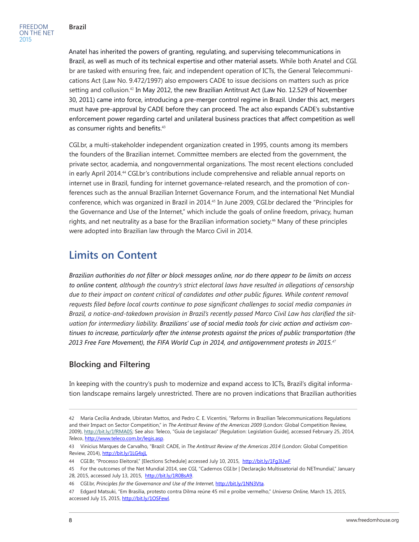FREEDOM ON THE NET 2015

Anatel has inherited the powers of granting, regulating, and supervising telecommunications in Brazil, as well as much of its technical expertise and other material assets. While both Anatel and CGI. br are tasked with ensuring free, fair, and independent operation of ICTs, the General Telecommunications Act (Law No. 9.472/1997) also empowers CADE to issue decisions on matters such as price setting and collusion.<sup>42</sup> In May 2012, the new Brazilian Antitrust Act (Law No. 12.529 of November 30, 2011) came into force, introducing a pre-merger control regime in Brazil. Under this act, mergers must have pre-approval by CADE before they can proceed. The act also expands CADE's substantive enforcement power regarding cartel and unilateral business practices that affect competition as well as consumer rights and benefits.<sup>43</sup>

CGI.br, a multi-stakeholder independent organization created in 1995, counts among its members the founders of the Brazilian internet. Committee members are elected from the government, the private sector, academia, and nongovernmental organizations. The most recent elections concluded in early April 2014.44 CGI.br's contributions include comprehensive and reliable annual reports on internet use in Brazil, funding for internet governance-related research, and the promotion of conferences such as the annual Brazilian Internet Governance Forum, and the international Net Mundial conference, which was organized in Brazil in 2014.45 In June 2009, CGI.br declared the "Principles for the Governance and Use of the Internet," which include the goals of online freedom, privacy, human rights, and net neutrality as a base for the Brazilian information society.<sup>46</sup> Many of these principles were adopted into Brazilian law through the Marco Civil in 2014.

# **Limits on Content**

*Brazilian authorities do not filter or block messages online, nor do there appear to be limits on access to online content, although the country's strict electoral laws have resulted in allegations of censorship due to their impact on content critical of candidates and other public figures. While content removal requests filed before local courts continue to pose significant challenges to social media companies in Brazil, a notice-and-takedown provision in Brazil's recently passed Marco Civil Law has clarified the situation for intermediary liability. Brazilians' use of social media tools for civic action and activism continues to increase, particularly after the intense protests against the prices of public transportation (the 2013 Free Fare Movement), the FIFA World Cup in 2014, and antigovernment protests in 2015.<sup>47</sup>*

## **Blocking and Filtering**

In keeping with the country's push to modernize and expand access to ICTs, Brazil's digital information landscape remains largely unrestricted. There are no proven indications that Brazilian authorities

<sup>42</sup> Maria Cecília Andrade, Ubiratan Mattos, and Pedro C. E. Vicentini, "Reforms in Brazilian Telecommunications Regulations and their Impact on Sector Competition," in *The Antitrust Review of the Americas 2009* (London: Global Competition Review, 2009), <http://bit.ly/1fRMA0S>; See also: Teleco, "Guia de Legislacao" [Regulation: Legislation Guide], accessed February 25, 2014, *Teleco*, <http://www.teleco.com.br/legis.asp>.

<sup>43</sup> Vinicius Marques de Carvalho, "Brazil: CADE, in *The Antitrust Review of the Americas 2014* (London: Global Competition Review, 2014), <http://bit.ly/1LG4xjL>

<sup>44</sup> CGI.Br, "Processo Eleitoral," [Elections Schedule] accessed July 10, 2015, <http://bit.ly/1Fg3UwF>

<sup>45</sup> For the outcomes of the Net Mundial 2014, see CGI, "Cadernos CGI.br | Declaração Multissetorial do NETmundial," January 28, 2015, accessed July 13, 2015, [http://bit.ly/1R0BsA9.](http://bit.ly/1R0BsA9)

<sup>46</sup> CGI.br, *Principles for the Governance and Use of the Internet*,<http://bit.ly/1NN3Vta>.

<sup>47</sup> Edgard Matsuki, "Em Brasília, protesto contra Dilma reúne 45 mil e proíbe vermelho," *Universo Online,* March 15, 2015, accessed July 15, 2015, [http://bit.ly/1OSFewl.](http://bit.ly/1OSFewl)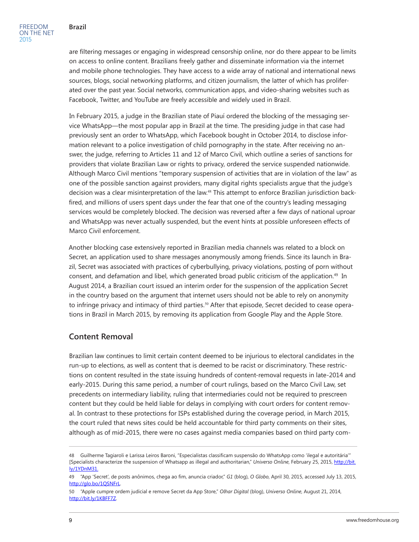are filtering messages or engaging in widespread censorship online, nor do there appear to be limits on access to online content. Brazilians freely gather and disseminate information via the internet and mobile phone technologies. They have access to a wide array of national and international news sources, blogs, social networking platforms, and citizen journalism, the latter of which has proliferated over the past year. Social networks, communication apps, and video-sharing websites such as Facebook, Twitter, and YouTube are freely accessible and widely used in Brazil.

In February 2015, a judge in the Brazilian state of Piauí ordered the blocking of the messaging service WhatsApp—the most popular app in Brazil at the time. The presiding judge in that case had previously sent an order to WhatsApp, which Facebook bought in October 2014, to disclose information relevant to a police investigation of child pornography in the state. After receiving no answer, the judge, referring to Articles 11 and 12 of Marco Civil, which outline a series of sanctions for providers that violate Brazilian Law or rights to privacy, ordered the service suspended nationwide. Although Marco Civil mentions "temporary suspension of activities that are in violation of the law" as one of the possible sanction against providers, many digital rights specialists argue that the judge's decision was a clear misinterpretation of the law.48 This attempt to enforce Brazilian jurisdiction backfired, and millions of users spent days under the fear that one of the country's leading messaging services would be completely blocked. The decision was reversed after a few days of national uproar and WhatsApp was never actually suspended, but the event hints at possible unforeseen effects of Marco Civil enforcement.

Another blocking case extensively reported in Brazilian media channels was related to a block on Secret, an application used to share messages anonymously among friends. Since its launch in Brazil, Secret was associated with practices of cyberbullying, privacy violations, posting of porn without consent, and defamation and libel, which generated broad public criticism of the application.49 In August 2014, a Brazilian court issued an interim order for the suspension of the application Secret in the country based on the argument that internet users should not be able to rely on anonymity to infringe privacy and intimacy of third parties. $^{\mathfrak{so}}$  After that episode, Secret decided to cease operations in Brazil in March 2015, by removing its application from Google Play and the Apple Store.

## **Content Removal**

Brazilian law continues to limit certain content deemed to be injurious to electoral candidates in the run-up to elections, as well as content that is deemed to be racist or discriminatory. These restrictions on content resulted in the state issuing hundreds of content-removal requests in late-2014 and early-2015. During this same period, a number of court rulings, based on the Marco Civil Law, set precedents on intermediary liability, ruling that intermediaries could not be required to prescreen content but they could be held liable for delays in complying with court orders for content removal. In contrast to these protections for ISPs established during the coverage period, in March 2015, the court ruled that news sites could be held accountable for third party comments on their sites, although as of mid-2015, there were no cases against media companies based on third party com-

<sup>48</sup> Guilherme Tagiaroli e Larissa Leiros Baroni, "Especialistas classificam suspensão do WhatsApp como 'ilegal e autoritária'" [Specialists characterize the suspension of Whatsapp as illegal and authoritarian," *Universo Online*, February 25, 2015, [http://bit.](http://bit.ly/1YDnM31.) [ly/1YDnM31.](http://bit.ly/1YDnM31.)

<sup>49</sup> "App 'Secret', de posts anônimos, chega ao fim, anuncia criador," *G1* (blog), *O Globo*, April 30, 2015, accessed July 13, 2015, [http://glo.bo/1QSNFrL.](http://glo.bo/1QSNFrL)

<sup>50 &</sup>quot;Apple cumpre ordem judicial e remove Secret da App Store," *Olhar Digital* (blog), *Universo Online*, August 21, 2014, [http://bit.ly/1KBFF7Z.](http://bit.ly/1KBFF7Z)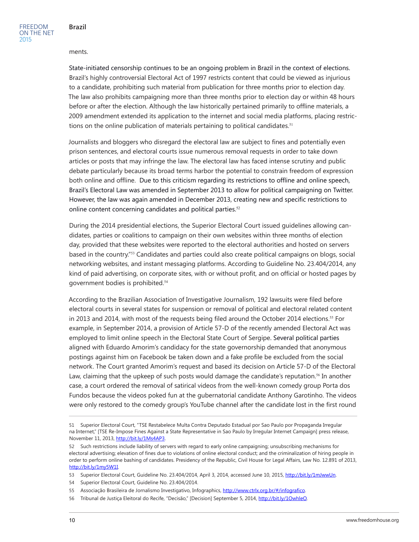#### ments.

State-initiated censorship continues to be an ongoing problem in Brazil in the context of elections. Brazil's highly controversial Electoral Act of 1997 restricts content that could be viewed as injurious to a candidate, prohibiting such material from publication for three months prior to election day. The law also prohibits campaigning more than three months prior to election day or within 48 hours before or after the election. Although the law historically pertained primarily to offline materials, a 2009 amendment extended its application to the internet and social media platforms, placing restrictions on the online publication of materials pertaining to political candidates.<sup>51</sup>

Journalists and bloggers who disregard the electoral law are subject to fines and potentially even prison sentences, and electoral courts issue numerous removal requests in order to take down articles or posts that may infringe the law. The electoral law has faced intense scrutiny and public debate particularly because its broad terms harbor the potential to constrain freedom of expression both online and offline. Due to this criticism regarding its restrictions to offline and online speech, Brazil's Electoral Law was amended in September 2013 to allow for political campaigning on Twitter. However, the law was again amended in December 2013, creating new and specific restrictions to online content concerning candidates and political parties.<sup>52</sup>

During the 2014 presidential elections, the Superior Electoral Court issued guidelines allowing candidates, parties or coalitions to campaign on their own websites within three months of election day, provided that these websites were reported to the electoral authorities and hosted on servers based in the country."53 Candidates and parties could also create political campaigns on blogs, social networking websites, and instant messaging platforms. According to Guideline No. 23.404/2014, any kind of paid advertising, on corporate sites, with or without profit, and on official or hosted pages by government bodies is prohibited.<sup>54</sup>

According to the Brazilian Association of Investigative Journalism, 192 lawsuits were filed before electoral courts in several states for suspension or removal of political and electoral related content in 2013 and 2014, with most of the requests being filed around the October 2014 elections.<sup>55</sup> For example, in September 2014, a provision of Article 57-D of the recently amended Electoral Act was employed to limit online speech in the Electoral State Court of Sergipe. Several political parties aligned with Eduardo Amorim's candidacy for the state governorship demanded that anonymous postings against him on Facebook be taken down and a fake profile be excluded from the social network. The Court granted Amorim's request and based its decision on Article 57-D of the Electoral Law, claiming that the upkeep of such posts would damage the candidate's reputation.<sup>56</sup> In another case, a court ordered the removal of satirical videos from the well-known comedy group Porta dos Fundos because the videos poked fun at the gubernatorial candidate Anthony Garotinho. The videos were only restored to the comedy group's YouTube channel after the candidate lost in the first round

54 Superior Electoral Court, Guideline No. 23.404/2014.

<sup>51</sup> Superior Electoral Court, "TSE Restabelece Multa Contra Deputado Estadual por Sao Paulo por Propaganda Irregular na Internet," [TSE Re-Impose Fines Against a State Representative in Sao Paulo by Irregular Internet Campaign] press release, November 11, 2013, [http://bit.ly/1Ms4AP3.](http://bit.ly/1Ms4AP3)

<sup>52</sup> Such restrictions include liability of servers with regard to early online campaigning; unsubscribing mechanisms for electoral advertising; elevation of fines due to violations of online electoral conduct; and the criminalization of hiring people in order to perform online bashing of candidates. Presidency of the Republic, Civil House for Legal Affairs, Law No. 12.891 of 2013, <http://bit.ly/1my5W1I>.

<sup>53</sup> Superior Electoral Court, Guideline No. 23.404/2014, April 3, 2014, accessed June 10, 2015, [http://bit.ly/1mJwwUn.](http://bit.ly/1mJwwUn)

<sup>55</sup> Associação Brasileira de Jornalismo Investigativo, Infographics, <http://www.ctrlx.org.br/#/infografico>.

<sup>56</sup> Tribunal de Justiça Eleitoral do Recife, "Decisão," [Decision] September 5, 2014, <http://bit.ly/1OwhleO>.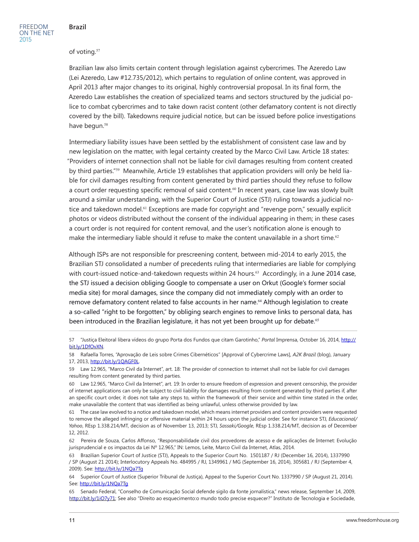#### of voting.<sup>57</sup>

Brazilian law also limits certain content through legislation against cybercrimes. The Azeredo Law (Lei Azeredo, Law #12.735/2012), which pertains to regulation of online content, was approved in April 2013 after major changes to its original, highly controversial proposal. In its final form, the Azeredo Law establishes the creation of specialized teams and sectors structured by the judicial police to combat cybercrimes and to take down racist content (other defamatory content is not directly covered by the bill). Takedowns require judicial notice, but can be issued before police investigations have begun.<sup>58</sup>

Intermediary liability issues have been settled by the establishment of consistent case law and by new legislation on the matter, with legal certainty created by the Marco Civil Law. Article 18 states: "Providers of internet connection shall not be liable for civil damages resulting from content created by third parties."59 Meanwhile, Article 19 establishes that application providers will only be held liable for civil damages resulting from content generated by third parties should they refuse to follow a court order requesting specific removal of said content.<sup>60</sup> In recent years, case law was slowly built around a similar understanding, with the Superior Court of Justice (STJ) ruling towards a judicial notice and takedown model.<sup>61</sup> Exceptions are made for copyright and "revenge porn," sexually explicit photos or videos distributed without the consent of the individual appearing in them; in these cases a court order is not required for content removal, and the user's notification alone is enough to make the intermediary liable should it refuse to make the content unavailable in a short time.<sup>62</sup>

Although ISPs are not responsible for prescreening content, between mid-2014 to early 2015, the Brazilian STJ consolidated a number of precedents ruling that intermediaries are liable for complying with court-issued notice-and-takedown requests within 24 hours.<sup>63</sup> Accordingly, in a June 2014 case, the STJ issued a decision obliging Google to compensate a user on Orkut (Google's former social media site) for moral damages, since the company did not immediately comply with an order to remove defamatory content related to false accounts in her name.<sup>64</sup> Although legislation to create a so-called "right to be forgotten," by obliging search engines to remove links to personal data, has been introduced in the Brazilian legislature, it has not yet been brought up for debate.<sup>65</sup>

<sup>57</sup> "Justiça Eleitoral libera vídeos do grupo Porta dos Fundos que citam Garotinho," *Portal* Imprensa, October 16, 2014, [http://](http://bit.ly/1DfOvXN) [bit.ly/1DfOvXN.](http://bit.ly/1DfOvXN)

<sup>58</sup> Rafaella Torres, "Aprovação de Leis sobre Crimes Cibernéticos" [Approval of Cybercrime Laws], *A2K Brazil* (blog), January 17, 2013, [http://bit.ly/1QAGF0L.](http://bit.ly/1QAGF0L)

<sup>59</sup> Law 12.965, "Marco Civil da Internet", art. 18: The provider of connection to internet shall not be liable for civil damages resulting from content generated by third parties.

<sup>60</sup> Law 12.965, "Marco Civil da Internet", art. 19: In order to ensure freedom of expression and prevent censorship, the provider of internet applications can only be subject to civil liability for damages resulting from content generated by third parties if, after an specific court order, it does not take any steps to, within the framework of their service and within time stated in the order, make unavailable the content that was identified as being unlawful, unless otherwise provided by law.

<sup>61</sup> The case law evolved to a notice and takedown model, which means internet providers and content providers were requested to remove the alleged infringing or offensive material within 24 hours upon the judicial order. See for instance STJ, *Educacional/ Yahoo*, REsp 1.338.214/MT, decision as of November 13, 2013; STJ, *Sassaki/Google*, REsp 1.338.214/MT, decision as of December 12, 2012.

<sup>62</sup> Pereira de Souza, Carlos Affonso, "Responsabilidade civil dos provedores de acesso e de aplicações de Internet: Evolução jurisprudencial e os impactos da Lei Nº 12.965," IN: Lemos, Leite, Marco Civil da Internet, Atlas, 2014.

<sup>63</sup> Brazilian Superior Court of Justice (STJ), Appeals to the Superior Court No. 1501187 / RJ (December 16, 2014), 1337990 / SP (August 21 2014); Interlocutory Appeals No. 484995 / RJ, 1349961 / MG (September 16, 2014), 305681 / RJ (September 4, 2009). See: <http://bit.ly/1NQa7Tg>

<sup>64</sup> Superior Court of Justice (Superior Tribunal de Justiça), Appeal to the Superior Court No. 1337990 / SP (August 21, 2014). See: <http://bit.ly/1NQa7Tg>

<sup>65</sup> Senado Federal, "Conselho de Comunicação Social defende sigilo da fonte jornalística," news release, September 14, 2009, <http://bit.ly/1iO7y71>; See also "Direito ao esquecimento:o mundo todo precise esquecer?" Instituto de Tecnologia e Sociedade,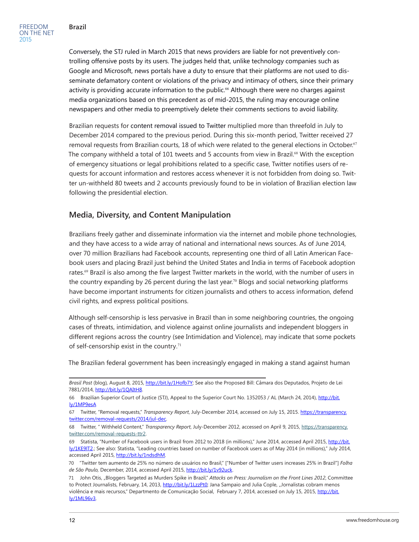Conversely, the STJ ruled in March 2015 that news providers are liable for not preventively controlling offensive posts by its users. The judges held that, unlike technology companies such as Google and Microsoft, news portals have a duty to ensure that their platforms are not used to disseminate defamatory content or violations of the privacy and intimacy of others, since their primary activity is providing accurate information to the public.<sup>66</sup> Although there were no charges against media organizations based on this precedent as of mid-2015, the ruling may encourage online newspapers and other media to preemptively delete their comments sections to avoid liability.

Brazilian requests for content removal issued to Twitter multiplied more than threefold in July to December 2014 compared to the previous period. During this six-month period, Twitter received 27 removal requests from Brazilian courts, 18 of which were related to the general elections in October.<sup>67</sup> The company withheld a total of 101 tweets and 5 accounts from view in Brazil.<sup>68</sup> With the exception of emergency situations or legal prohibitions related to a specific case, Twitter notifies users of requests for account information and restores access whenever it is not forbidden from doing so. Twitter un-withheld 80 tweets and 2 accounts previously found to be in violation of Brazilian election law following the presidential election.

## **Media, Diversity, and Content Manipulation**

Brazilians freely gather and disseminate information via the internet and mobile phone technologies, and they have access to a wide array of national and international news sources. As of June 2014, over 70 million Brazilians had Facebook accounts, representing one third of all Latin American Facebook users and placing Brazil just behind the United States and India in terms of Facebook adoption rates.69 Brazil is also among the five largest Twitter markets in the world, with the number of users in the country expanding by 26 percent during the last year.<sup>70</sup> Blogs and social networking platforms have become important instruments for citizen journalists and others to access information, defend civil rights, and express political positions.

Although self-censorship is less pervasive in Brazil than in some neighboring countries, the ongoing cases of threats, intimidation, and violence against online journalists and independent bloggers in different regions across the country (see Intimidation and Violence), may indicate that some pockets of self-censorship exist in the country.<sup>71</sup>

The Brazilian federal government has been increasingly engaged in making a stand against human

*Brasil Post* (blog)*,* August 8, 2015, <http://bit.ly/1Hofb7Y>; See also the Proposed Bill: Câmara dos Deputados, Projeto de Lei 7881/2014, [http://bit.ly/1QAItH8.](http://bit.ly/1QAItH8)

<sup>66</sup> Brazilian Superior Court of Justice (STJ), Appeal to the Superior Court No. 1352053 / AL (March 24, 2014), [http://bit.](http://bit.ly/1MP9esA) [ly/1MP9esA](http://bit.ly/1MP9esA)

<sup>67</sup> Twitter, "Removal requests," *Transparency Report*, July-December 2014, accessed on July 15, 2015. [https://transparency.](https://transparency.twitter.com/removal-requests/2014/jul-dec) [twitter.com/removal-requests/2014/jul-dec.](https://transparency.twitter.com/removal-requests/2014/jul-dec)

<sup>68</sup> Twitter, " Withheld Content," *Transparency Report*, July-December 2012, accessed on April 9, 2015, [https://transparency.](https://transparency.twitter.com/removal-requests-ttr2) [twitter.com/removal-requests-ttr2](https://transparency.twitter.com/removal-requests-ttr2).

<sup>69</sup> Statista, "Number of Facebook users in Brazil from 2012 to 2018 (in millions)," June 2014, accessed April 2015, [http://bit.](http://bit.ly/1KE9lT2) [ly/1KE9lT2.](http://bit.ly/1KE9lT2); See also: Statista, "Leading countries based on number of Facebook users as of May 2014 (in millions)," July 2014, accessed April 2015, <http://bit.ly/1ndsdhM>.

<sup>70</sup> "Twitter tem aumento de 25% no número de usuários no Brasil," ["Number of Twitter users increases 25% in Brazil"] *Folha de São Paulo,* December, 2014, accessed April 2015, [http://bit.ly/1v92uck.](http://bit.ly/1v92uck)

<sup>71</sup> John Otis, "Bloggers Targeted as Murders Spike in Brazil," *Attacks on Press: Journalism on the Front Lines 2012*, Committee to Protect Journalists, February, 14, 2013,<http://bit.ly/1LzzPt0>; Jana Sampaio and Julia Cople, "Jornalistas cobram menos violência e mais recursos," Departmento de Comunicação Social, February 7, 2014, accessed on July 15, 2015, [http://bit.](http://bit.ly/1ML96v3) [ly/1ML96v3.](http://bit.ly/1ML96v3)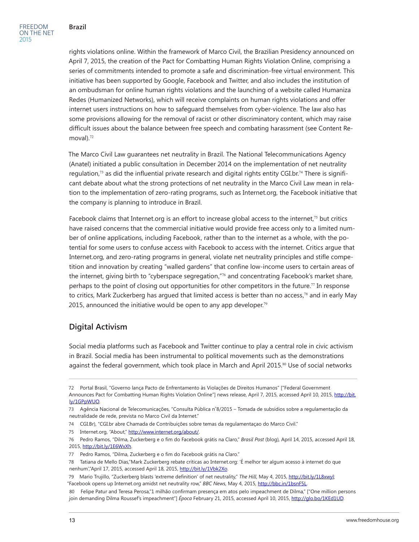rights violations online. Within the framework of Marco Civil, the Brazilian Presidency announced on April 7, 2015, the creation of the Pact for Combatting Human Rights Violation Online, comprising a series of commitments intended to promote a safe and discrimination-free virtual environment. This initiative has been supported by Google, Facebook and Twitter, and also includes the institution of an ombudsman for online human rights violations and the launching of a website called Humaniza Redes (Humanized Networks), which will receive complaints on human rights violations and offer internet users instructions on how to safeguard themselves from cyber-violence. The law also has some provisions allowing for the removal of racist or other discriminatory content, which may raise difficult issues about the balance between free speech and combating harassment (see Content Removal $1.72$ 

The Marco Civil Law guarantees net neutrality in Brazil. The National Telecommunications Agency (Anatel) initiated a public consultation in December 2014 on the implementation of net neutrality regulation,73 as did the influential private research and digital rights entity CGI.br.74 There is significant debate about what the strong protections of net neutrality in the Marco Civil Law mean in relation to the implementation of zero-rating programs, such as Internet.org, the Facebook initiative that the company is planning to introduce in Brazil.

Facebook claims that Internet.org is an effort to increase global access to the internet,<sup>75</sup> but critics have raised concerns that the commercial initiative would provide free access only to a limited number of online applications, including Facebook, rather than to the internet as a whole, with the potential for some users to confuse access with Facebook to access with the internet. Critics argue that Internet.org, and zero-rating programs in general, violate net neutrality principles and stifle competition and innovation by creating "walled gardens" that confine low-income users to certain areas of the internet, giving birth to "cyberspace segregation,"76 and concentrating Facebook's market share, perhaps to the point of closing out opportunities for other competitors in the future.<sup>77</sup> In response to critics, Mark Zuckerberg has argued that limited access is better than no access,<sup>78</sup> and in early May 2015, announced the initiative would be open to any app developer.<sup>79</sup>

## **Digital Activism**

Social media platforms such as Facebook and Twitter continue to play a central role in civic activism in Brazil. Social media has been instrumental to political movements such as the demonstrations against the federal government, which took place in March and April 2015.<sup>80</sup> Use of social networks

<sup>72</sup> Portal Brasil, "Governo lança Pacto de Enfrentamento às Violações de Direitos Humanos" ["Federal Government Announces Pact for Combatting Human Rights Violation Online"] news release, April 7, 2015, accessed April 10, 2015, [http://bit.](http://bit.ly/1GPpWUO) [ly/1GPpWUO.](http://bit.ly/1GPpWUO)

<sup>73</sup> Agência Nacional de Telecomunicações, "Consulta Pública n˚8/2015 – Tomada de subsídios sobre a regulamentação da neutralidade de rede, prevista no Marco Civil da Internet."

<sup>74</sup> CGI.Br), "CGI.br abre Chamada de Contribuições sobre temas da regulamentaçao do Marco Civil."

<sup>75</sup> Internet.org, "About," <http://www.internet.org/about/>.

<sup>76</sup> Pedro Ramos, "Dilma, Zuckerberg e o fim do Facebook grátis na Claro," *Brasil Post* (blog)*,* April 14, 2015, accessed April 18, 2015, [http://bit.ly/1E6WxXh.](http://bit.ly/1E6WxXh)

<sup>77</sup> Pedro Ramos, "Dilma, Zuckerberg e o fim do Facebook grátis na Claro."

<sup>78</sup> Tatiana de Mello Dias,"Mark Zuckerberg rebate críticas ao Internet.org: 'É melhor ter algum acesso à internet do que nenhum',"April 17, 2015, accessed April 18, 2015, <http://bit.ly/1Vbk2Xo>.

<sup>79</sup> Mario Trujillo, "Zuckerberg blasts 'extreme definition' of net neutrality," *The Hill*, May 4, 2015, [http://bit.ly/1L8xwyl;](http://bit.ly/1L8xwyl) "Facebook opens up Internet.org amidst net neutrality row," *BBC News*, May 4, 2015, <http://bbc.in/1bsnF5L>.

<sup>80</sup> Felipe Patur and Teresa Perosa,"1 milhão confirmam presença em atos pelo impeachment de Dilma," ["One million persons join demanding Dilma Roussef's impeachment"] *Época* February 21, 2015, accessed April 10, 2015, [http://glo.bo/1KEd1UD.](http://glo.bo/1KEd1UD)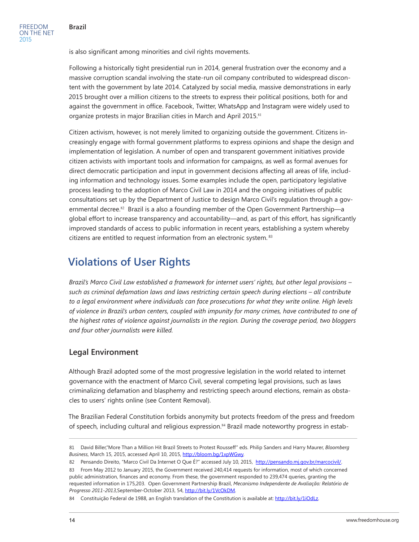is also significant among minorities and civil rights movements.

Following a historically tight presidential run in 2014, general frustration over the economy and a massive corruption scandal involving the state-run oil company contributed to widespread discontent with the government by late 2014. Catalyzed by social media, massive demonstrations in early 2015 brought over a million citizens to the streets to express their political positions, both for and against the government in office. Facebook, Twitter, WhatsApp and Instagram were widely used to organize protests in major Brazilian cities in March and April 2015.<sup>81</sup>

Citizen activism, however, is not merely limited to organizing outside the government. Citizens increasingly engage with formal government platforms to express opinions and shape the design and implementation of legislation. A number of open and transparent government initiatives provide citizen activists with important tools and information for campaigns, as well as formal avenues for direct democratic participation and input in government decisions affecting all areas of life, including information and technology issues. Some examples include the open, participatory legislative process leading to the adoption of Marco Civil Law in 2014 and the ongoing initiatives of public consultations set up by the Department of Justice to design Marco Civil's regulation through a governmental decree.<sup>82</sup> Brazil is a also a founding member of the Open Government Partnership—a global effort to increase transparency and accountability—and, as part of this effort, has significantly improved standards of access to public information in recent years, establishing a system whereby citizens are entitled to request information from an electronic system. <sup>83</sup>

## **Violations of User Rights**

*Brazil's Marco Civil Law established a framework for internet users' rights, but other legal provisions – such as criminal defamation laws and laws restricting certain speech during elections – all contribute*  to a legal environment where individuals can face prosecutions for what they write online. High levels *of violence in Brazil's urban centers, coupled with impunity for many crimes, have contributed to one of the highest rates of violence against journalists in the region. During the coverage period, two bloggers and four other journalists were killed.*

## **Legal Environment**

Although Brazil adopted some of the most progressive legislation in the world related to internet governance with the enactment of Marco Civil, several competing legal provisions, such as laws criminalizing defamation and blasphemy and restricting speech around elections, remain as obstacles to users' rights online (see Content Removal).

The Brazilian Federal Constitution forbids anonymity but protects freedom of the press and freedom of speech, including cultural and religious expression.84 Brazil made noteworthy progress in estab-

<sup>81</sup> David Biller,"More Than a Million Hit Brazil Streets to Protest Rousseff" eds. Philip Sanders and Harry Maurer, *Bloomberg Business*, March 15, 2015, accessed April 10, 2015, http://bloom.bg/1xpWGwy.

<sup>82</sup> Pensando Direito, "Marco Civil Da Internet O Que É?" accessed July 10, 2015, [http://pensando.mj.gov.br/marcocivil/.](http://pensando.mj.gov.br/marcocivil/)

<sup>83</sup> From May 2012 to January 2015, the Government received 240,414 requests for information, most of which concerned public administration, finances and economy. From these, the government responded to 239,474 queries, granting the requested information in 175,203. Open Government Partnership Brazil, *Mecanismo Independente de Avaliação: Relatório de Progresso 2011-2013,*September-October 2013, 54, [http://bit.ly/1VcOkDM.](http://bit.ly/1VcOkDM)

<sup>84</sup> Constituição Federal de 1988, an English translation of the Constitution is available at: [http://bit.ly/1iOdLz.](http://bit.ly/1iOdLz)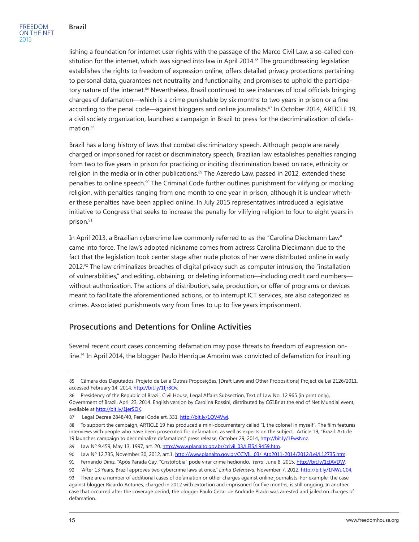lishing a foundation for internet user rights with the passage of the Marco Civil Law, a so-called constitution for the internet, which was signed into law in April 2014.<sup>85</sup> The groundbreaking legislation establishes the rights to freedom of expression online, offers detailed privacy protections pertaining to personal data, guarantees net neutrality and functionality, and promises to uphold the participatory nature of the internet.<sup>86</sup> Nevertheless, Brazil continued to see instances of local officials bringing charges of defamation—which is a crime punishable by six months to two years in prison or a fine according to the penal code—against bloggers and online journalists.<sup>87</sup> In October 2014, ARTICLE 19, a civil society organization, launched a campaign in Brazil to press for the decriminalization of defamation.<sup>88</sup>

Brazil has a long history of laws that combat discriminatory speech. Although people are rarely charged or imprisoned for racist or discriminatory speech, Brazilian law establishes penalties ranging from two to five years in prison for practicing or inciting discrimination based on race, ethnicity or religion in the media or in other publications.<sup>89</sup> The Azeredo Law, passed in 2012, extended these penalties to online speech.90 The Criminal Code further outlines punishment for vilifying or mocking religion, with penalties ranging from one month to one year in prison, although it is unclear whether these penalties have been applied online. In July 2015 representatives introduced a legislative initiative to Congress that seeks to increase the penalty for vilifying religion to four to eight years in prison.<sup>91</sup>

In April 2013, a Brazilian cybercrime law commonly referred to as the "Carolina Dieckmann Law" came into force. The law's adopted nickname comes from actress Carolina Dieckmann due to the fact that the legislation took center stage after nude photos of her were distributed online in early 2012.92 The law criminalizes breaches of digital privacy such as computer intrusion, the "installation of vulnerabilities," and editing, obtaining, or deleting information—including credit card numbers without authorization. The actions of distribution, sale, production, or offer of programs or devices meant to facilitate the aforementioned actions, or to interrupt ICT services, are also categorized as crimes. Associated punishments vary from fines to up to five years imprisonment.

## **Prosecutions and Detentions for Online Activities**

Several recent court cases concerning defamation may pose threats to freedom of expression online.93 In April 2014, the blogger Paulo Henrique Amorim was convicted of defamation for insulting

<sup>85</sup> Câmara dos Deputados, Projeto de Lei e Outras Proposições, [Draft Laws and Other Propositions] Project de Lei 2126/2011, accessed February 14, 2014, [http://bit.ly/1fjr8Ov.](http://bit.ly/1fjr8Ov)

<sup>86</sup> Presidency of the Republic of Brazil, Civil House, Legal Affairs Subsection, Text of Law No. 12.965 (in print only), Government of Brazil, April 23, 2014. English version by Carolina Rossini, distributed by CGI.Br at the end of Net Mundial event, available at [http://bit.ly/1jerSOK.](http://bit.ly/1jerSOK)

<sup>87</sup> Legal Decree 2848/40, Penal Code art. 331, [http://bit.ly/1OV4Vwj.](http://bit.ly/1OV4Vwj)

<sup>88</sup> To support the campaign, ARTICLE 19 has produced a mini-documentary called "I, the colonel in myself". The film features interviews with people who have been prosecuted for defamation, as well as experts on the subject. Article 19, "Brazil: Article 19 launches campaign to decriminalize defamation," press release, October 29, 2014, <http://bit.ly/1FwsNnz>.

<sup>89</sup> Law Nº 9.459, May 13, 1997, art. 20, [http://www.planalto.gov.br/ccivil\\_03/LEIS/L9459.htm](http://www.planalto.gov.br/ccivil_03/LEIS/L9459.htm).

<sup>90</sup> Law Nº 12.735, November 30, 2012, art.1, [http://www.planalto.gov.br/CCIVIL\\_03/\\_Ato2011-2014/2012/Lei/L12735.htm](http://www.planalto.gov.br/CCIVIL_03/_Ato2011-2014/2012/Lei/L12735.htm).

<sup>91</sup> Fernando Diniz, "Após Parada Gay, "Cristofobia" pode virar crime hediondo," *terra*, June 8, 2015, [http://bit.ly/1cIAVDW.](http://bit.ly/1cIAVDW)

<sup>92</sup> "After 13 Years, Brazil approves two cybercrime laws at once," *Linha Defensiva*, November 7, 2012, [http://bit.ly/1NWuC04.](http://bit.ly/1NWuC04)

<sup>93</sup> There are a number of additional cases of defamation or other charges against online journalists. For example, the case against blogger Ricardo Antunes, charged in 2012 with extortion and imprisoned for five months, is still ongoing. In another case that occurred after the coverage period, the blogger Paulo Cezar de Andrade Prado was arrested and jailed on charges of defamation.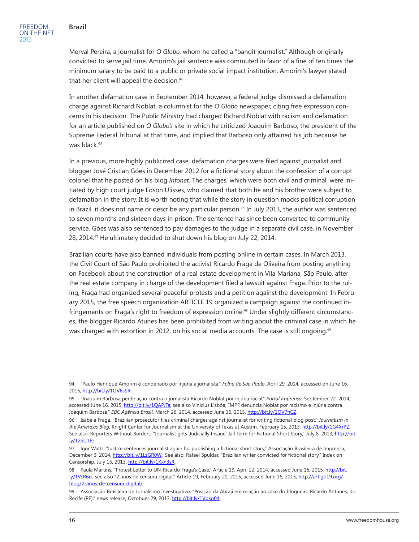Merval Pereira, a journalist for *O Globo*, whom he called a "bandit journalist." Although originally convicted to serve jail time, Amorim's jail sentence was commuted in favor of a fine of ten times the minimum salary to be paid to a public or private social impact institution. Amorim's lawyer stated that her client will appeal the decision.<sup>94</sup>

In another defamation case in September 2014, however, a federal judge dismissed a defamation charge against Richard Noblat, a columnist for the *O Globo* newspaper, citing free expression concerns in his decision. The Public Ministry had charged Richard Noblat with racism and defamation for an article published on *O Globo's* site in which he criticized Joaquim Barboso, the president of the Supreme Federal Tribunal at that time, and implied that Barboso only attained his job because he was black.<sup>95</sup>

In a previous, more highly publicized case, defamation charges were filed against journalist and blogger José Cristian Góes in December 2012 for a fictional story about the confession of a corrupt colonel that he posted on his blog *Infonet*. The charges, which were both civil and criminal, were initiated by high court judge Edson Ulisses, who claimed that both he and his brother were subject to defamation in the story. It is worth noting that while the story in question mocks political corruption in Brazil, it does not name or describe any particular person.<sup>96</sup> In July 2013, the author was sentenced to seven months and sixteen days in prison. The sentence has since been converted to community service. Góes was also sentenced to pay damages to the judge in a separate civil case, in November 28, 2014.<sup>97</sup> He ultimately decided to shut down his blog on July 22, 2014.

Brazilian courts have also banned individuals from posting online in certain cases. In March 2013, the Civil Court of São Paulo prohibited the activist Ricardo Fraga de Oliveira from posting anything on Facebook about the construction of a real estate development in Vila Mariana, São Paulo, after the real estate company in charge of the development filed a lawsuit against Fraga. Prior to the ruling, Fraga had organized several peaceful protests and a petition against the development. In February 2015, the free speech organization ARTICLE 19 organized a campaign against the continued infringements on Fraga's right to freedom of expression online.<sup>98</sup> Under slightly different circumstances, the blogger Ricardo Atunes has been prohibited from writing about the criminal case in which he was charged with extortion in 2012, on his social media accounts. The case is still ongoing.<sup>99</sup>

<sup>94 &</sup>quot;Paulo Henrique Amorim é condenado por injúria a jornalista," *Folha de São Paulo*, April 29, 2014, accessed on June 16, 2015, [http://bit.ly/1OV6sSR.](http://bit.ly/1OV6sSR)

<sup>95</sup> "Joaquim Barbosa perde ação contra o jornalista Ricardo Noblat por injúria racial," *Portal Imprensa*, September 22, 2014, accessed June 16, 2015,<http://bit.ly/1QAPJTa>; see also Vinícius Lisbôa, "MPF denuncia Noblat por racismo e injúria contra Joaquim Barbosa," *EBC Agência Brasil*, March 26, 2014, accessed June 16, 2015, <http://bit.ly/1OV7nCZ>.

<sup>96</sup> Isabela Fraga, "Brazilian prosecutor files criminal charges against journalist for writing fictional blog post," *Journalism in the Americas Blog*, Knight Center for Journalism at the University of Texas at Austrin, February 15, 2013, [http://bit.ly/1G4XrPZ;](http://bit.ly/1G4XrPZ) See also: Reporters Without Borders, "Journalist gets 'Judicially Insane' Jail Term for Fictional Short Story," July 8, 2013, [http://bit.](http://bit.ly/12SU1Pr) [ly/12SU1Pr](http://bit.ly/12SU1Pr).

<sup>97</sup> Igor Waltz, "Justice sentences journalist again for publishing a fictional short story," Associação Brasileira de Imprensa, December 3, 2014, <http://bit.ly/1LzGR0W>.; See also: Rafael Spuldar, "Brazilian writer convicted for fictional story," Index on Censorship, July 15, 2013,<http://bit.ly/1Kxn3sR>.

<sup>98</sup> Paula Martins, "Protest Letter to UN-Ricardo Fraga's Case," Article 19, April 22, 2014, accessed June 16, 2015, [http://bit.](http://bit.ly/1VcR6ci) [ly/1VcR6ci](http://bit.ly/1VcR6ci); see also "2 anos de censura digital," Article 19, February 20, 2015, accessed June 16, 2015, [http://artigo19.org/](http://artigo19.org/blog/2-anos-de-censura-digital/) [blog/2-anos-de-censura-digital/](http://artigo19.org/blog/2-anos-de-censura-digital/).

<sup>99</sup> Associação Brasileira de Jornalismo Investigativo, "Posição da Abraji em relação ao caso do blogueiro Ricardo Antunes, do Recife (PE)," news release, Octobuer 29, 2013, [http://bit.ly/1Vbko04.](http://bit.ly/1Vbko04)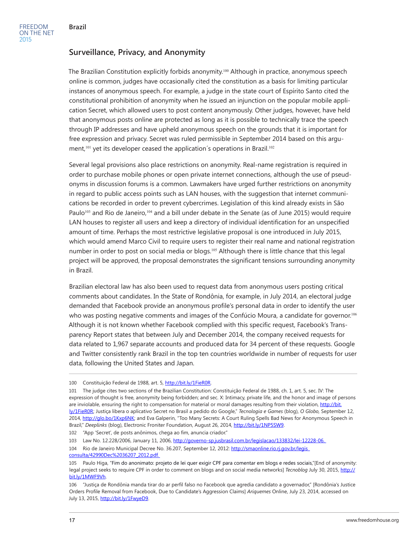## **Surveillance, Privacy, and Anonymity**

The Brazilian Constitution explicitly forbids anonymity.100 Although in practice, anonymous speech online is common, judges have occasionally cited the constitution as a basis for limiting particular instances of anonymous speech. For example, a judge in the state court of Espírito Santo cited the constitutional prohibition of anonymity when he issued an injunction on the popular mobile application Secret, which allowed users to post content anonymously. Other judges, however, have held that anonymous posts online are protected as long as it is possible to technically trace the speech through IP addresses and have upheld anonymous speech on the grounds that it is important for free expression and privacy. Secret was ruled permissible in September 2014 based on this argument,<sup>101</sup> yet its developer ceased the application's operations in Brazil.<sup>102</sup>

Several legal provisions also place restrictions on anonymity. Real-name registration is required in order to purchase mobile phones or open private internet connections, although the use of pseudonyms in discussion forums is a common. Lawmakers have urged further restrictions on anonymity in regard to public access points such as LAN houses, with the suggestion that internet communications be recorded in order to prevent cybercrimes. Legislation of this kind already exists in São Paulo<sup>103</sup> and Rio de Janeiro,<sup>104</sup> and a bill under debate in the Senate (as of June 2015) would require LAN houses to register all users and keep a directory of individual identification for an unspecified amount of time. Perhaps the most restrictive legislative proposal is one introduced in July 2015, which would amend Marco Civil to require users to register their real name and national registration number in order to post on social media or blogs.105 Although there is little chance that this legal project will be approved, the proposal demonstrates the significant tensions surrounding anonymity in Brazil.

Brazilian electoral law has also been used to request data from anonymous users posting critical comments about candidates. In the State of Rondônia, for example, in July 2014, an electoral judge demanded that Facebook provide an anonymous profile's personal data in order to identify the user who was posting negative comments and images of the Confúcio Moura, a candidate for governor.<sup>106</sup> Although it is not known whether Facebook complied with this specific request, Facebook's Transparency Report states that between July and December 2014, the company received requests for data related to 1,967 separate accounts and produced data for 34 percent of these requests. Google and Twitter consistently rank Brazil in the top ten countries worldwide in number of requests for user data, following the United States and Japan.

[consulta/42990Dec%2036207\\_2012.pdf](http://smaonline.rio.rj.gov.br/legis_consulta/42990Dec 36207_2012.pdf).

<sup>100</sup> Constituição Federal de 1988, art. 5, [http://bit.ly/1FieR0R.](http://bit.ly/1FieR0R)

<sup>101</sup> The judge cites two sections of the Brazilian Constitution: Constituição Federal de 1988, ch. 1, art. 5, sec. IV: The expression of thought is free, anonymity being forbidden; and sec. X: Intimacy, private life, and the honor and image of persons are inviolable, ensuring the right to compensation for material or moral damages resulting from their violation, [http://bit.](http://bit.ly/1FieR0R) [ly/1FieR0R](http://bit.ly/1FieR0R); Justiça libera o aplicativo Secret no Brasil a pedido do Google," *Tecnologia e Games* (blog), *O Globo,* September 12, 2014, <http://glo.bo/1Kxp6NK>; and Eva Galperin, "Too Many Secrets: A Court Ruling Spells Bad News for Anonymous Speech in Brazil," *Deeplinks* (blog), Electronic Froniter Foundation, August 26, 2014, [http://bit.ly/1NP5SW9.](http://bit.ly/1NP5SW9)

<sup>102</sup> "App 'Secret', de posts anônimos, chega ao fim, anuncia criador."

<sup>103</sup> Law No. 12.228/2006, January 11, 2006, [http://governo-sp.jusbrasil.com.br/legislacao/133832/lei-12228-06.](http://governo-sp.jusbrasil.com.br/legislacao/133832/lei-12228-06)

<sup>104</sup> Rio de Janeiro Municipal Decree No. 36.207, September 12, 2012: [http://smaonline.rio.rj.gov.br/legis\\_](http://smaonline.rio.rj.gov.br/legis_consulta/42990Dec 36207_2012.pdf)

<sup>105</sup> Paulo Higa, "Fim do anonimato: projeto de lei quer exigir CPF para comentar em blogs e redes sociais,"[End of anonymity: legal project seeks to require CPF in order to comment on blogs and on social media networks] *Tecnoblog* July 30, 2015, [http://](http://bit.ly/1MWF9Vh) [bit.ly/1MWF9Vh](http://bit.ly/1MWF9Vh).

<sup>106</sup> "Justiça de Rondônia manda tirar do ar perfil falso no Facebook que agredia candidato a governador," [Rondônia's Justice Orders Profile Removal from Facebook, Due to Candidate's Aggression Claims] *Ariquemes* Online, July 23, 2014, accessed on July 13, 2015, <http://bit.ly/1FwyeD9>.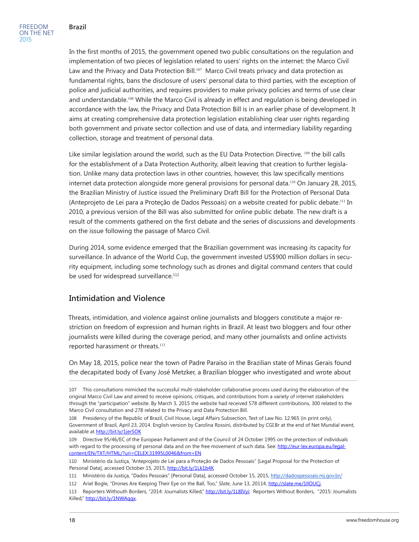FREEDOM ON THE NET 2015

In the first months of 2015, the government opened two public consultations on the regulation and implementation of two pieces of legislation related to users' rights on the internet: the Marco Civil Law and the Privacy and Data Protection Bill.<sup>107</sup> Marco Civil treats privacy and data protection as fundamental rights, bans the disclosure of users' personal data to third parties, with the exception of police and judicial authorities, and requires providers to make privacy policies and terms of use clear and understandable.<sup>108</sup> While the Marco Civil is already in effect and regulation is being developed in accordance with the law, the Privacy and Data Protection Bill is in an earlier phase of development. It aims at creating comprehensive data protection legislation establishing clear user rights regarding both government and private sector collection and use of data, and intermediary liability regarding collection, storage and treatment of personal data.

Like similar legislation around the world, such as the EU Data Protection Directive, <sup>109</sup> the bill calls for the establishment of a Data Protection Authority, albeit leaving that creation to further legislation. Unlike many data protection laws in other countries, however, this law specifically mentions internet data protection alongside more general provisions for personal data.<sup>110</sup> On January 28, 2015, the Brazilian Ministry of Justice issued the Preliminary Draft Bill for the Protection of Personal Data (Anteprojeto de Lei para a Proteção de Dados Pessoais) on a website created for public debate.111 In 2010, a previous version of the Bill was also submitted for online public debate. The new draft is a result of the comments gathered on the first debate and the series of discussions and developments on the issue following the passage of Marco Civil.

During 2014, some evidence emerged that the Brazilian government was increasing its capacity for surveillance. In advance of the World Cup, the government invested US\$900 million dollars in security equipment, including some technology such as drones and digital command centers that could be used for widespread surveillance.<sup>112</sup>

## **Intimidation and Violence**

Threats, intimidation, and violence against online journalists and bloggers constitute a major restriction on freedom of expression and human rights in Brazil. At least two bloggers and four other journalists were killed during the coverage period, and many other journalists and online activists reported harassment or threats.<sup>113</sup>

On May 18, 2015, police near the town of Padre Paraíso in the Brazilian state of Minas Gerais found the decapitated body of Evany José Metzker, a Brazilian blogger who investigated and wrote about

<sup>107</sup> This consultations mimicked the successful multi-stakeholder collaborative process used during the elaboration of the original Marco Civil Law and aimed to receive opinions, critiques, and contributions from a variety of internet stakeholders through the "participation" website. By March 3, 2015 the website had received 578 different contributions, 300 related to the Marco Civil consultation and 278 related to the Privacy and Data Protection Bill.

<sup>108</sup> Presidency of the Republic of Brazil, Civil House, Legal Affairs Subsection, Text of Law No. 12.965 (in print only), Government of Brazil, April 23, 2014. English version by Carolina Rossini, distributed by CGI.Br at the end of Net Mundial event, available at<http://bit.ly/1jerSOK>

<sup>109</sup> Directive 95/46/EC of the European Parliament and of the Council of 24 October 1995 on the protection of individuals with regard to the processing of personal data and on the free movement of such data. See: [http://eur-lex.europa.eu/legal](http://eur-lex.europa.eu/legal-content/EN/TXT/HTML/?uri=CELEX:31995L0046&from=EN)[content/EN/TXT/HTML/?uri=CELEX:31995L0046&from=EN](http://eur-lex.europa.eu/legal-content/EN/TXT/HTML/?uri=CELEX:31995L0046&from=EN)

<sup>110</sup> Ministério da Justiça, "Anteprojeto de Lei para a Proteção de Dados Pessoais" [Legal Proposal for the Protection of Personal Data], accessed October 15, 2015, <http://bit.ly/1Lk1b4K>

<sup>111</sup> Ministério da Justiça, "Dados Pessoais" [Personal Data], accessed October 15, 2015, [http://dadospessoais.mj.gov.br/](http://dadospessoais.nj.gov.br/)

<sup>112</sup> Ariel Bogle, "Drones Are Keeping Their Eye on the Ball, Too," *Slate*, June 13, 20114, [http://slate.me/1llOUCj.](http://slate.me/1llOUCj)

<sup>113</sup> Reporters Withouth Borders, "2014: Journalists Killed," <http://bit.ly/1L8IVyi>; Reporters Without Borders, "2015: Journalists Killed," [http://bit.ly/1NWAqqx.](http://bit.ly/1NWAqqx)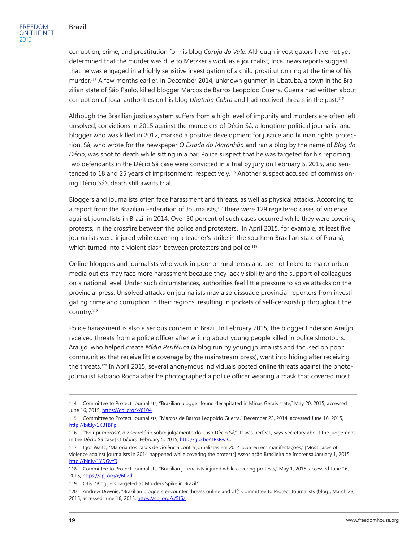corruption, crime, and prostitution for his blog *Coruja do Vale*. Although investigators have not yet determined that the murder was due to Metzker's work as a journalist, local news reports suggest that he was engaged in a highly sensitive investigation of a child prostitution ring at the time of his murder.114 A few months earlier, in December 2014, unknown gunmen in Ubatuba, a town in the Brazilian state of São Paulo, killed blogger Marcos de Barros Leopoldo Guerra. Guerra had written about corruption of local authorities on his blog *Ubatuba Cobra* and had received threats in the past.<sup>115</sup>

Although the Brazilian justice system suffers from a high level of impunity and murders are often left unsolved, convictions in 2015 against the murderers of Décio Sá, a longtime political journalist and blogger who was killed in 2012, marked a positive development for justice and human rights protection. Sá, who wrote for the newspaper *O Estado do Maranhão* and ran a blog by the name of *Blog do Décio*, was shot to death while sitting in a bar. Police suspect that he was targeted for his reporting. Two defendants in the Décio Sá case were convicted in a trial by jury on February 5, 2015, and sentenced to 18 and 25 years of imprisonment, respectively.<sup>116</sup> Another suspect accused of commissioning Décio Sá's death still awaits trial.

Bloggers and journalists often face harassment and threats, as well as physical attacks. According to a report from the Brazilian Federation of Journalists,<sup>117</sup> there were 129 registered cases of violence against journalists in Brazil in 2014. Over 50 percent of such cases occurred while they were covering protests, in the crossfire between the police and protesters. In April 2015, for example, at least five journalists were injured while covering a teacher's strike in the southern Brazilian state of Paraná, which turned into a violent clash between protesters and police.<sup>118</sup>

Online bloggers and journalists who work in poor or rural areas and are not linked to major urban media outlets may face more harassment because they lack visibility and the support of colleagues on a national level. Under such circumstances, authorities feel little pressure to solve attacks on the provincial press. Unsolved attacks on journalists may also dissuade provincial reporters from investigating crime and corruption in their regions, resulting in pockets of self-censorship throughout the country.<sup>119</sup>

Police harassment is also a serious concern in Brazil. In February 2015, the blogger Enderson Araújo received threats from a police officer after writing about young people killed in police shootouts. Araújo, who helped create *Mídia Periférica* (a blog run by young journalists and focused on poor communities that receive little coverage by the mainstream press), went into hiding after receiving the threats.120 In April 2015, several anonymous individuals posted online threats against the photojournalist Fabiano Rocha after he photographed a police officer wearing a mask that covered most

<sup>114</sup> Committee to Protect Journalists, "Brazilian blogger found decapitated in Minas Gerais state," May 20, 2015, accessed June 16, 2015, [https://cpj.org/x/6104.](https://cpj.org/x/6104)

<sup>115</sup> Committee to Protect Journalists, "Marcos de Barros Leopoldo Guerra," December 23, 2014, accessed June 16, 2015, <http://bit.ly/1KBTBPp>.

<sup>116</sup> "'Foir primoroso', diz secretário sobre julgamento do Caso Dècio Sá," [It was perfect', says Secretary about the judgement in the Décio Sá case] *O Globo,* February 5, 2015,<http://glo.bo/1PxRwIC>.

<sup>117</sup> Igor Waltz, "Maioria dos casos de violência contra jornalistas em 2014 ocurreu em manifestações," [Most cases of violence against journalists in 2014 happened while covering the protests] Associação Brasileira de Imprensa,January 1, 2015, <http://bit.ly/1YDGyY9>.

<sup>118</sup> Committee to Protect Journalists, "Brazilian journalists injured while covering protests," May 1, 2015, accessed June 16, 2015, [https://cpj.org/x/602d.](https://cpj.org/x/602d)

<sup>119</sup> Otis, "Bloggers Targeted as Murders Spike in Brazil."

<sup>120</sup> Andrew Downie, "Brazilian bloggers encounter threats online and off," Committee to Protect Journalists (blog), March 23, 2015, accessed June 16, 2015, <https://cpj.org/x/5f6a>.